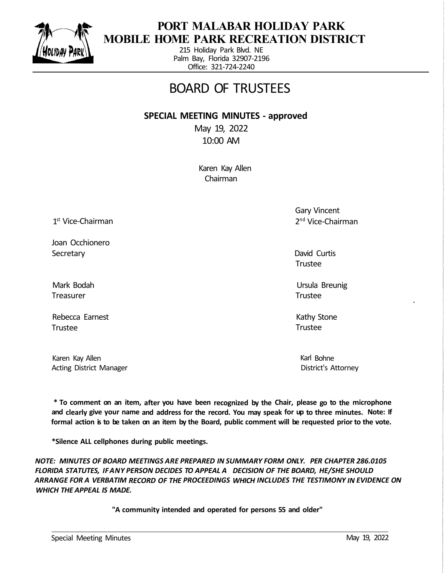

## **PORT MALABAR HOLIDAY PARK MOBILE HOME PARK RECREATION DISTRICT**

215 Holiday Park Blvd. NE Palm Bay, Florida 32907-2196 Office: 321-724-2240

## BOARD OF TRUSTEES

## **SPECIAL MEETING MINUTES - approved**

May 19, 2022 10:00 AM

> Karen Kay Allen Chairman

1 st Vice-Chairman

Joan Occhionero **Secretary** 

Mark Bodah Treasurer

Rebecca Earnest Trustee

Karen Kay Allen Acting District Manager Gary Vincent 2 nd Vice-Chairman

David Curtis Trustee

Ursula Breunig Trustee

Kathy Stone Trustee

> Karl Bohne District's Attorney

**\* To comment on an item, after you have been recognized by the Chair, please go to the microphone and clearly give your name and address for the record. You may speak for up to three minutes. Note: If formal action is to be taken on an item by the Board, public comment will be requested prior to the vote.** 

**\*Silence ALL cellphones during public meetings.**

*NOTE: MINUTES OF BOARD MEETINGS ARE PREPARED IN SUMMARY FORM ONLY. PER CHAPTER 286.0105 FLORIDA STATUTES, IF ANY PERSON DECIDES TO APPEAL A DECISION OF THE BOARD, HE/SHE SHOULD ARRANGE FOR A VERBATIM RECORD OF THE PROCEEDINGS WHICH INCLUDES THE TESTIMONY IN EVIDENCE ON WHICH THE APPEAL IS MADE.* 

**"A community intended and operated for persons 55 and older"**